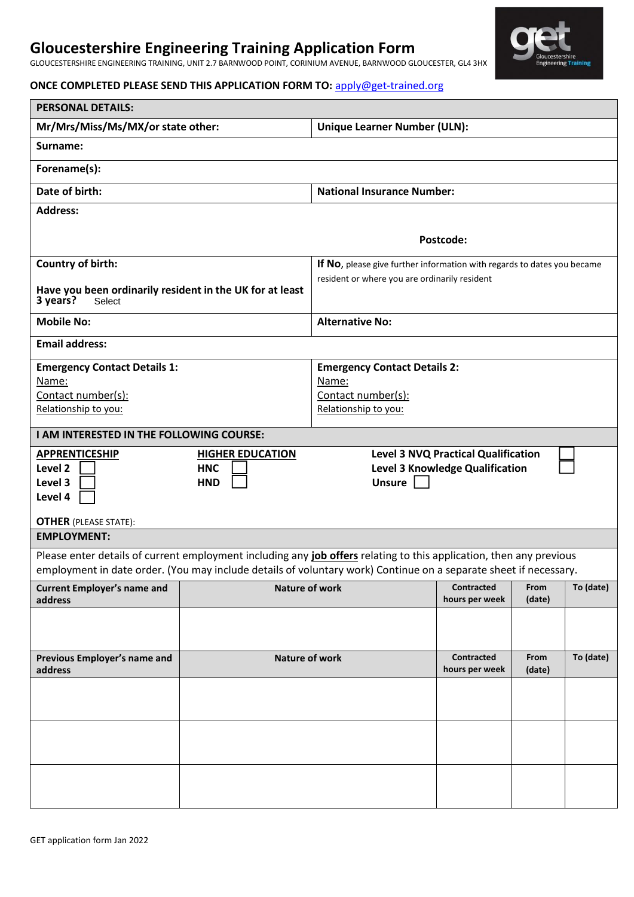# **Gloucestershire Engineering Training Application Form**

GLOUCESTERSHIRE ENGINEERING TRAINING, UNIT 2.7 BARNWOOD POINT, CORINIUM AVENUE, BARNWOOD GLOUCESTER, GL4 3HX

## **ONCE COMPLETED PLEASE SEND THIS APPLICATION FORM TO:** [apply@get-trained.org](mailto:apply@get-trained.org)

| <b>PERSONAL DETAILS:</b>                                                                                                                                                                                                                               |                |                                                                                            |                                     |                |           |  |
|--------------------------------------------------------------------------------------------------------------------------------------------------------------------------------------------------------------------------------------------------------|----------------|--------------------------------------------------------------------------------------------|-------------------------------------|----------------|-----------|--|
| Mr/Mrs/Miss/Ms/MX/or state other:                                                                                                                                                                                                                      |                | <b>Unique Learner Number (ULN):</b>                                                        |                                     |                |           |  |
| Surname:                                                                                                                                                                                                                                               |                |                                                                                            |                                     |                |           |  |
| Forename(s):                                                                                                                                                                                                                                           |                |                                                                                            |                                     |                |           |  |
| Date of birth:                                                                                                                                                                                                                                         |                | <b>National Insurance Number:</b>                                                          |                                     |                |           |  |
| <b>Address:</b>                                                                                                                                                                                                                                        |                |                                                                                            |                                     |                |           |  |
| Postcode:                                                                                                                                                                                                                                              |                |                                                                                            |                                     |                |           |  |
| Country of birth:                                                                                                                                                                                                                                      |                | If No, please give further information with regards to dates you became                    |                                     |                |           |  |
| Have you been ordinarily resident in the UK for at least<br>3 years?<br>Select                                                                                                                                                                         |                | resident or where you are ordinarily resident                                              |                                     |                |           |  |
| <b>Mobile No:</b>                                                                                                                                                                                                                                      |                | <b>Alternative No:</b>                                                                     |                                     |                |           |  |
| <b>Email address:</b>                                                                                                                                                                                                                                  |                |                                                                                            |                                     |                |           |  |
| <b>Emergency Contact Details 1:</b><br>Name:<br>Contact number(s):<br>Relationship to you:                                                                                                                                                             |                | <b>Emergency Contact Details 2:</b><br>Name:<br>Contact number(s):<br>Relationship to you: |                                     |                |           |  |
| I AM INTERESTED IN THE FOLLOWING COURSE:                                                                                                                                                                                                               |                |                                                                                            |                                     |                |           |  |
| <b>Level 3 NVQ Practical Qualification</b><br><b>APPRENTICESHIP</b><br><b>HIGHER EDUCATION</b><br>Level 2<br><b>Level 3 Knowledge Qualification</b><br><b>HNC</b><br><b>Unsure</b><br>Level 3<br><b>HND</b><br>Level 4<br><b>OTHER (PLEASE STATE):</b> |                |                                                                                            |                                     |                |           |  |
| <b>EMPLOYMENT:</b>                                                                                                                                                                                                                                     |                |                                                                                            |                                     |                |           |  |
| Please enter details of current employment including any job offers relating to this application, then any previous<br>employment in date order. (You may include details of voluntary work) Continue on a separate sheet if necessary.                |                |                                                                                            |                                     |                |           |  |
| <b>Current Employer's name and</b><br>address                                                                                                                                                                                                          | Nature of work |                                                                                            | <b>Contracted</b><br>hours per week | From<br>(date) | To (date) |  |
|                                                                                                                                                                                                                                                        |                |                                                                                            |                                     |                |           |  |
| Previous Employer's name and<br>address                                                                                                                                                                                                                | Nature of work |                                                                                            | <b>Contracted</b><br>hours per week | From<br>(date) | To (date) |  |
|                                                                                                                                                                                                                                                        |                |                                                                                            |                                     |                |           |  |
|                                                                                                                                                                                                                                                        |                |                                                                                            |                                     |                |           |  |
|                                                                                                                                                                                                                                                        |                |                                                                                            |                                     |                |           |  |

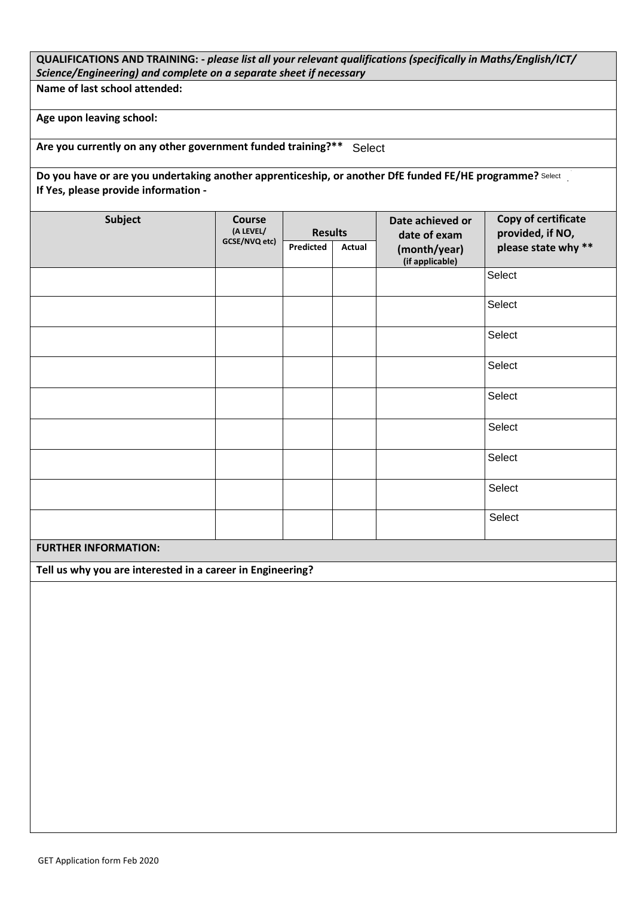## **QUALIFICATIONS AND TRAINING: -** *please list all your relevant qualifications (specifically in Maths/English/ICT/ Science/Engineering) and complete on a separate sheet if necessary*

**Name of last school attended:**

**Age upon leaving school:**

Are you currently on any other government funded training?\*\* Select

Do you have or are you undertaking another apprenticeship, or another DfE funded FE/HE programme? Select **our a If Yes, please provide information -**

| <b>Subject</b> | <b>Course</b><br>(A LEVEL/<br>GCSE/NVQ etc) | <b>Results</b> |        | Date achieved or<br>date of exam | Copy of certificate<br>provided, if NO, |  |
|----------------|---------------------------------------------|----------------|--------|----------------------------------|-----------------------------------------|--|
|                |                                             | Predicted      | Actual | (month/year)<br>(if applicable)  | please state why **                     |  |
|                |                                             |                |        |                                  | Select                                  |  |
|                |                                             |                |        |                                  | Select                                  |  |
|                |                                             |                |        |                                  | Select                                  |  |
|                |                                             |                |        |                                  | Select                                  |  |
|                |                                             |                |        |                                  | Select                                  |  |
|                |                                             |                |        |                                  | Select                                  |  |
|                |                                             |                |        |                                  | Select                                  |  |
|                |                                             |                |        |                                  | Select                                  |  |
|                |                                             |                |        |                                  | Select                                  |  |

### **FURTHER INFORMATION:**

**Tell us why you are interested in a career in Engineering?**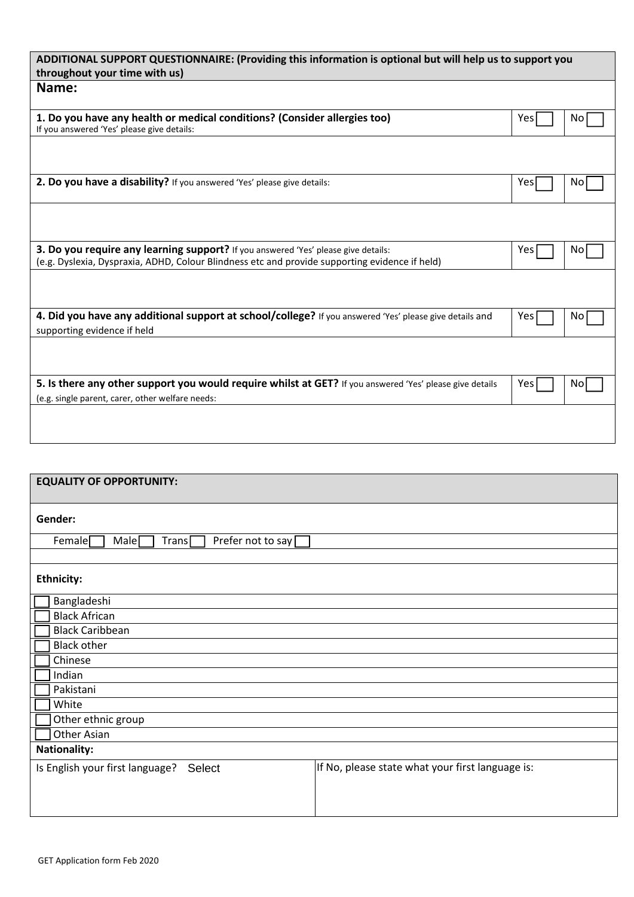| ADDITIONAL SUPPORT QUESTIONNAIRE: (Providing this information is optional but will help us to support you<br>throughout your time with us)                                           |      |     |  |  |
|--------------------------------------------------------------------------------------------------------------------------------------------------------------------------------------|------|-----|--|--|
| Name:                                                                                                                                                                                |      |     |  |  |
| 1. Do you have any health or medical conditions? (Consider allergies too)<br>If you answered 'Yes' please give details:                                                              | Yesl | No. |  |  |
|                                                                                                                                                                                      |      |     |  |  |
| 2. Do you have a disability? If you answered 'Yes' please give details:                                                                                                              | Yes  | No. |  |  |
|                                                                                                                                                                                      |      |     |  |  |
| 3. Do you require any learning support? If you answered 'Yes' please give details:<br>(e.g. Dyslexia, Dyspraxia, ADHD, Colour Blindness etc and provide supporting evidence if held) | Yesl | No. |  |  |
|                                                                                                                                                                                      |      |     |  |  |
| 4. Did you have any additional support at school/college? If you answered 'Yes' please give details and<br>supporting evidence if held                                               | Yesl | No. |  |  |
|                                                                                                                                                                                      |      |     |  |  |
| 5. Is there any other support you would require whilst at GET? If you answered 'Yes' please give details<br>(e.g. single parent, carer, other welfare needs:                         | Yesl | No. |  |  |
|                                                                                                                                                                                      |      |     |  |  |

| <b>EQUALITY OF OPPORTUNITY:</b>                                                               |                                                  |  |  |  |
|-----------------------------------------------------------------------------------------------|--------------------------------------------------|--|--|--|
|                                                                                               |                                                  |  |  |  |
| Gender:                                                                                       |                                                  |  |  |  |
| Prefer not to say $\square$<br>Female <sup>[</sup><br>Male <sup>[</sup><br>Trans <sub>l</sub> |                                                  |  |  |  |
|                                                                                               |                                                  |  |  |  |
| <b>Ethnicity:</b>                                                                             |                                                  |  |  |  |
| Bangladeshi                                                                                   |                                                  |  |  |  |
| <b>Black African</b>                                                                          |                                                  |  |  |  |
| <b>Black Caribbean</b>                                                                        |                                                  |  |  |  |
| <b>Black other</b>                                                                            |                                                  |  |  |  |
| Chinese                                                                                       |                                                  |  |  |  |
| Indian                                                                                        |                                                  |  |  |  |
| Pakistani                                                                                     |                                                  |  |  |  |
| White                                                                                         |                                                  |  |  |  |
| Other ethnic group                                                                            |                                                  |  |  |  |
| Other Asian                                                                                   |                                                  |  |  |  |
| <b>Nationality:</b>                                                                           |                                                  |  |  |  |
| Is English your first language? Select                                                        | If No, please state what your first language is: |  |  |  |